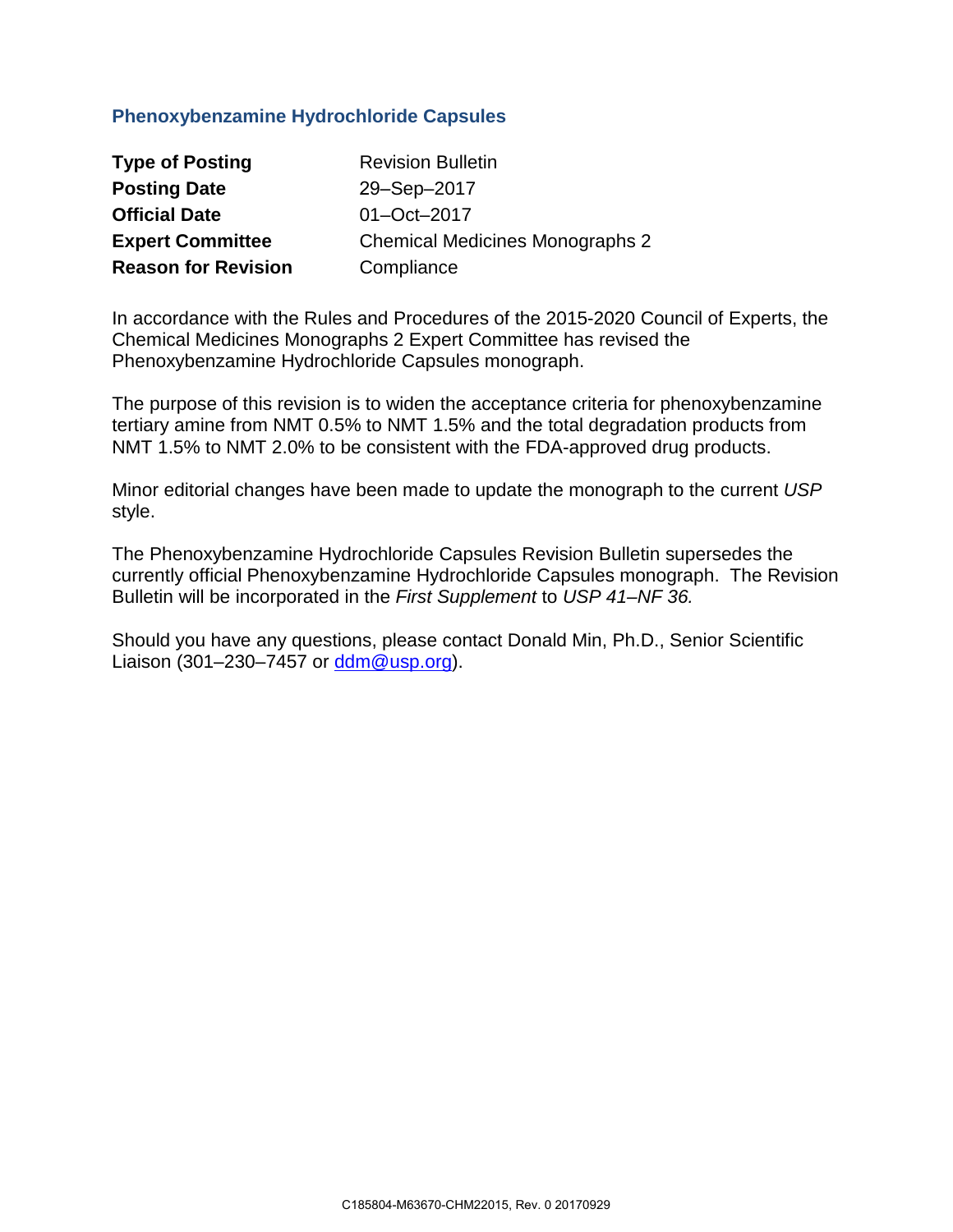## **Phenoxybenzamine Hydrochloride Capsules**

| <b>Type of Posting</b>     | <b>Revision Bulletin</b>               |
|----------------------------|----------------------------------------|
| <b>Posting Date</b>        | 29-Sep-2017                            |
| <b>Official Date</b>       | 01-Oct-2017                            |
| <b>Expert Committee</b>    | <b>Chemical Medicines Monographs 2</b> |
| <b>Reason for Revision</b> | Compliance                             |

In accordance with the Rules and Procedures of the 2015-2020 Council of Experts, the Chemical Medicines Monographs 2 Expert Committee has revised the Phenoxybenzamine Hydrochloride Capsules monograph.

The purpose of this revision is to widen the acceptance criteria for phenoxybenzamine tertiary amine from NMT 0.5% to NMT 1.5% and the total degradation products from NMT 1.5% to NMT 2.0% to be consistent with the FDA-approved drug products.

Minor editorial changes have been made to update the monograph to the current *USP*  style.

The Phenoxybenzamine Hydrochloride Capsules Revision Bulletin supersedes the currently official Phenoxybenzamine Hydrochloride Capsules monograph. The Revision Bulletin will be incorporated in the *First Supplement* to *USP 41–NF 36.* 

Should you have any questions, please contact Donald Min, Ph.D., Senior Scientific Liaison (301–230–7457 or  $\frac{\text{ddm@usp.org}}{\text{ddm@usp.org}}$ ).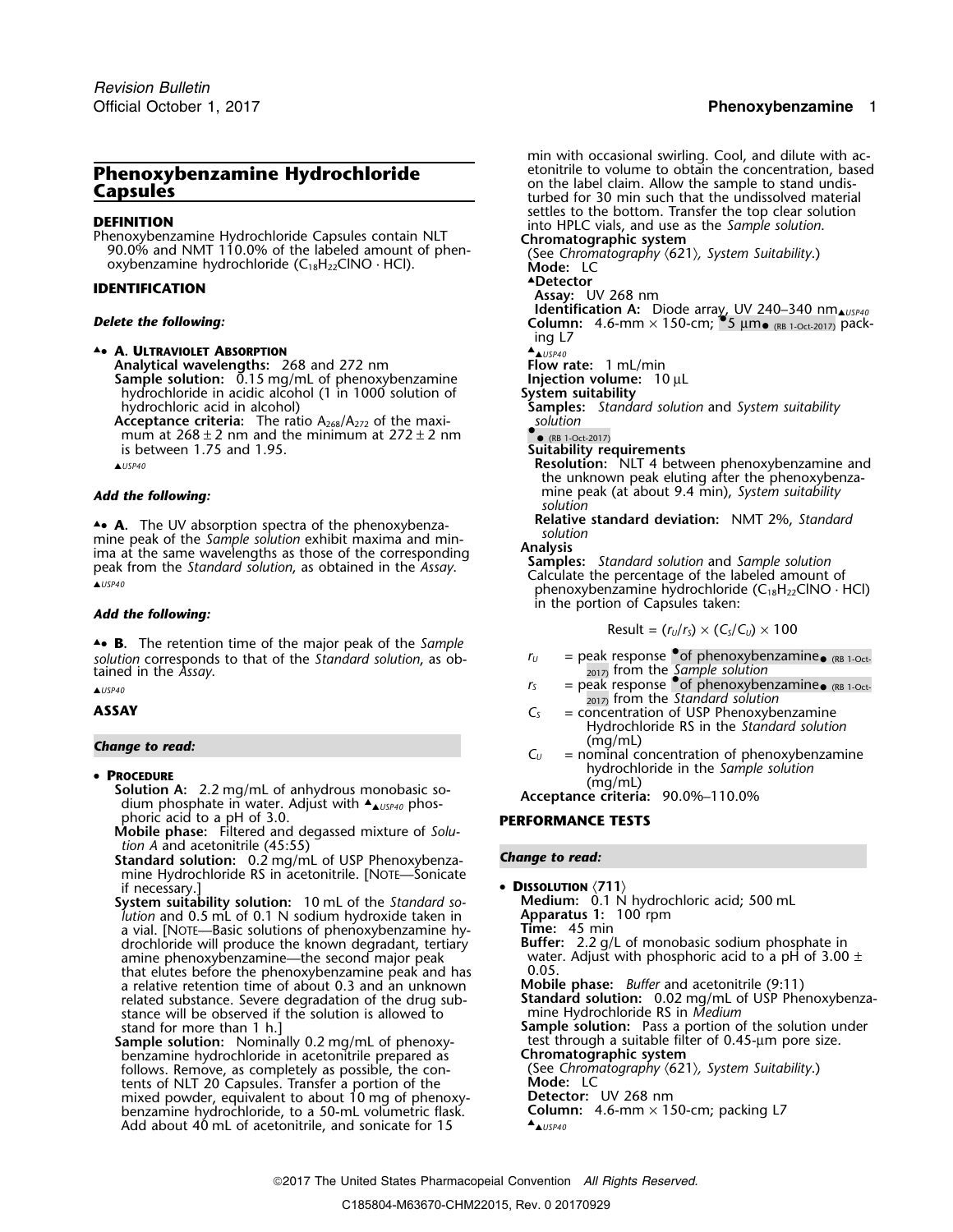**DEFINITION**<br> **DEFINITION**<br>
Phenoxybenzamine Hydrochloride Capsules contain NLT<br>
90.0% and NMT 110.0% of the labeled amount of phen-<br>
oxybenzamine hydrochloride (C<sub>18</sub>H<sub>22</sub>ClNO · HCl).<br>
Oxybenzamine hydrochloride (C<sub>18</sub>H<sub>2</sub> oxybenzamine hydrochloride (C<sub>18</sub>H<sub>22</sub>ClNO · HCl).

### **.Detector IDENTIFICATION Assay:** UV 268 nm

▲**.**• **A. ULTRAVIOLET ABSORPTION** ▲.

Analytical wavelengths: 268 and 272 nm<br>**Sample solution:** 0.15 mg/mL of phenoxybenzamine **Flow rate: 1 metrion volume: 10** µL **Sample solution:**  $\overline{0.15}$  mg/mL of phenoxybenzamine **Injection volume**<br>hydrochloride in acidic alcohol (1 in 1000 solution of **System suitability** hydrochloride in acidic alcohol (1 in 1000 solution of hydrochloric acid in alcohol)

Acceptance criteria: The ratio A<sub>268</sub>/A<sub>272</sub> of the maximum at  $268 \pm 2$  nm and the minimum at  $272 \pm 2$  nm is between 1.75 and 1.95. • (RB 1-Oct-2017) is between 1.75 and 1.95. **Suitability requirements**

**.**• **A.** The UV absorption spectra of the phenoxybenza-Final peak of the *Sample solution*<br>
ima at the same wavelengths as those of the corresponding<br>
peak from the *Standard solution*, as obtained in the *Assay*.<br>  $\triangle^{USP40}$ <br>  $\triangle^{USP40}$ <br>  $\triangle^{USP40}$ <br>  $\triangle^{USP40}$ <br>  $\triangle^{USP40}$ <br>

▲**.**• **B.** The retention time of the major peak of the *Sample*  $solution$  corresponds to that of the *Standard solution*, as ob-<br> $r_U =$  peak response of phenoxybenzamine<sub>• (RB 1-Oct-</sub> tained in the *Assay*.<br>▲ *r<sub>S</sub>* = peak response •of phenoxybenzamine● (RB 1-Oct- **ALISP40**) from the *Sample solution* 

**PROCEDURE**<br> **Solution A:** 2.2 mg/mL of anhydrous monobasic so-<br>
dium phosphate in water. Adjust with ▲<sub>▲</sub><sub>USP40</sub> phos-<br> **Acceptance criteria:** 90.0%–110.0% phoric acid to a pH of 3.0. **PERFORMANCE TESTS**

**Mobile phase:** Filtered and degassed mixture of *Solution A* and acetonitrile (45:55)

- **Standard solution:** 0.2 mg/mL of USP Phenoxybenza- **Change to read:** mine Hydrochloride RS in acetonitrile. [NOTE—Sonicate if necessary.]
- **System suitability solution:** 10 mL of the *Standard so-* **Medium:** 0.1 N hydrochloric acids in the *Ithion* and 0.5 mL of 0.1 N sodium hydroxide taken in **Apparatus 1:** 100 rpm *lution* and 0.5 mL of 0.1 N sodium hydroxide taken in a vial. [NOTE—Basic solutions of phenoxybenzamine hy-<br>drochloride will produce the known degradant, tertiary amine phenoxybenzamine—the second major peak water. And we wanted that elutes before the phenoxybenzamine peak and has 0.05. that elutes before the phenoxybenzamine peak and has  $\qquad 0.05$ .<br>a relative retention time of about 0.3 and an unknown **Mobile phase:** Buffer and acetonitrile (9:11) related substance. Severe degradation of the drug sub-**Standard solution:** 0.02 mg/mL of USP of USP Phenome of the solution is allowed to USP Phenorman Phenochloride RS in *Medium* stance will be observed if the solution is allowed to
- **Sample solution:** Nominally 0.2 mg/mL of phenoxy-<br>benzamine hydrochloride in acetonitrile prepared as **Chromatographic system** benzamine hydrochloride in acetonitrile prepared as **Chromatographic system**<br>follows. Remove, as completely as possible, the con-<br>(See Chromatography (621), *System Suitability*.) follows. Remove, as completely as possible, the con- (See *Chrom* tents of NLT 20 Capsules. Transfer a portion of the **Mode:** LC tents of NLT 20 Capsules. Transfer a portion of the **Mode:** LC mixed powder, equivalent to about 10 mg of phenoxy- **Detector:** UV 268 nm benzamine hydrochloride, to a 50-mL volumetric flask. **Column:** 4.6-mm × 150-cm; packing L7 Add about 40 mL of acetonitrile, and sonicate for 15

min with occasional swirling. Cool, and dilute with ac-<br>etonitrile to volume to obtain the concentration, based **Phenoxybenzamine Hydrochloride** etonitrile to volume to obtain the concentration, based **Capsules**<br> **Capsules** concentration, based for 30 min such that the undissolved material in the undissolved material

▲Detector

**Identification A:** Diode array, UV 240–340 nm<br>Column: 4.6-mm × 150-cm; •5 µm• (RB 1-Oct-2017) packing L7

▲*USP40*

- **Samples:** *Standard solution and System suitability Solution*
- 

▲*USP40* **Resolution:** NLT 4 between phenoxybenzamine and the unknown peak eluting after the phenoxybenzamine peak (at about 9.4 min), *System suitability Add the following: solution*

▲ **Relative standard deviation:** NMT 2%, *Standard*

Add the following: **Add the following: Add the following: Add the following: Add the following: Add the following: Add the following: Add the following: Add the following: Add the following: Add the follo** 

 $Result = (r<sub>U</sub>/r<sub>S</sub>) \times (C<sub>S</sub>/C<sub>U</sub>) \times 100$ 

- 
- 2017) from the *Standard solution*
- **ASSAY C**<sub>S</sub> = concentration of USP Phenoxybenzamine Hydrochloride RS in the *Standard solution*
- (mg/mL)<br>  $C_U =$  nominal concentration of phenoxybenzamine **• PROCEDURE**<br>**hydrochloride in the** *Sample solution*<br>**f** cluttion (1, 2,2 mq/mL)

**• DISSOLUTION** (711)<br>Medium: 0.1 N hydrochloric acid; 500 mL **Time:** 45 min<br>**Buffer:** 2.2 g/L of monobasic sodium phosphate in<br>water. Adjust with phosphoric acid to a pH of 3.00  $\pm$ a relative retention time of about 0.3 and an unknown **Mobile phase:** *Buffer* and acetonitrile (9:11) stand for more than 1 h.]<br> **Sample solution:** Pass a portion of the solution under<br> **Sample solution:** Nominally 0.2 mg/mL of phenoxy-<br>
test through a suitable filter of 0.45-µm pore size.  $\triangle$ <sub> $M$ IISP40</sub>

2017 The United States Pharmacopeial Convention *All Rights Reserved.*